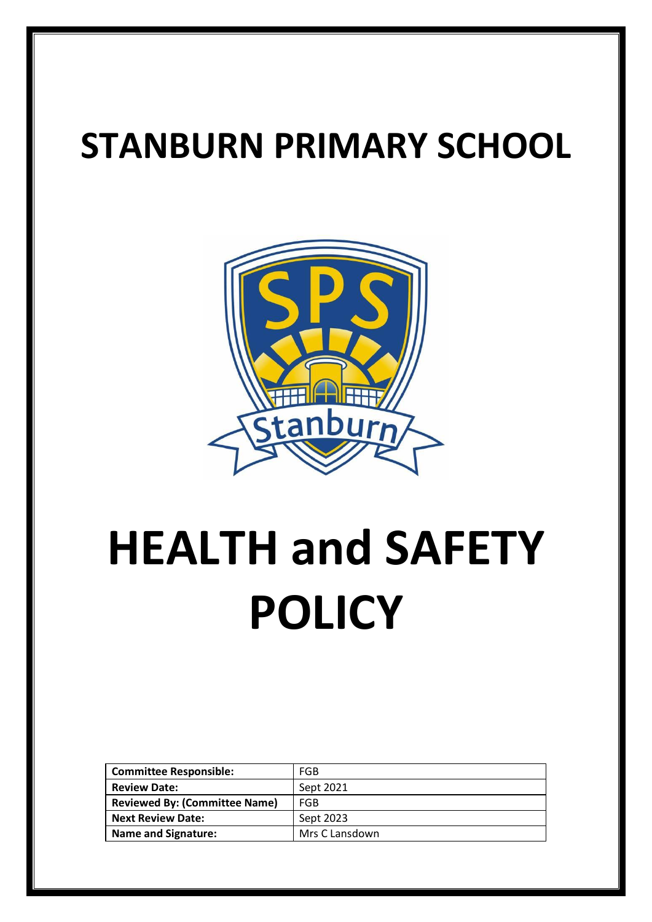# **STANBURN PRIMARY SCHOOL**



# **HEALTH and SAFETY POLICY**

| <b>Committee Responsible:</b>        | FGB            |
|--------------------------------------|----------------|
| <b>Review Date:</b>                  | Sept 2021      |
| <b>Reviewed By: (Committee Name)</b> | FGB            |
| <b>Next Review Date:</b>             | Sept 2023      |
| <b>Name and Signature:</b>           | Mrs C Lansdown |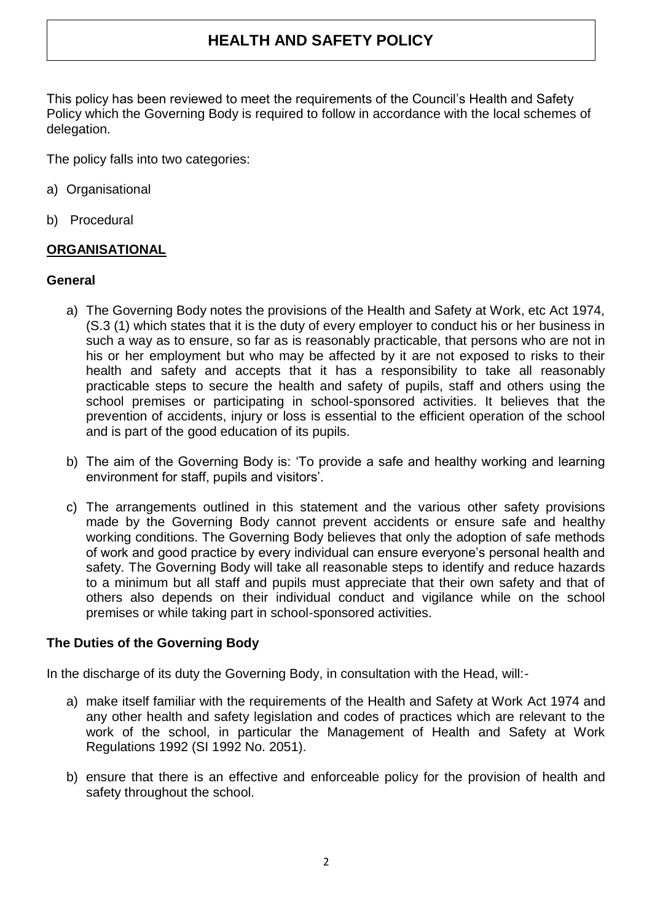# **HEALTH AND SAFETY POLICY**

This policy has been reviewed to meet the requirements of the Council's Health and Safety Policy which the Governing Body is required to follow in accordance with the local schemes of delegation.

The policy falls into two categories:

- a) Organisational
- b) Procedural

#### **ORGANISATIONAL**

#### **General**

- a) The Governing Body notes the provisions of the Health and Safety at Work, etc Act 1974, (S.3 (1) which states that it is the duty of every employer to conduct his or her business in such a way as to ensure, so far as is reasonably practicable, that persons who are not in his or her employment but who may be affected by it are not exposed to risks to their health and safety and accepts that it has a responsibility to take all reasonably practicable steps to secure the health and safety of pupils, staff and others using the school premises or participating in school-sponsored activities. It believes that the prevention of accidents, injury or loss is essential to the efficient operation of the school and is part of the good education of its pupils.
- b) The aim of the Governing Body is: 'To provide a safe and healthy working and learning environment for staff, pupils and visitors'.
- c) The arrangements outlined in this statement and the various other safety provisions made by the Governing Body cannot prevent accidents or ensure safe and healthy working conditions. The Governing Body believes that only the adoption of safe methods of work and good practice by every individual can ensure everyone's personal health and safety. The Governing Body will take all reasonable steps to identify and reduce hazards to a minimum but all staff and pupils must appreciate that their own safety and that of others also depends on their individual conduct and vigilance while on the school premises or while taking part in school-sponsored activities.

#### **The Duties of the Governing Body**

In the discharge of its duty the Governing Body, in consultation with the Head, will:-

- a) make itself familiar with the requirements of the Health and Safety at Work Act 1974 and any other health and safety legislation and codes of practices which are relevant to the work of the school, in particular the Management of Health and Safety at Work Regulations 1992 (SI 1992 No. 2051).
- b) ensure that there is an effective and enforceable policy for the provision of health and safety throughout the school.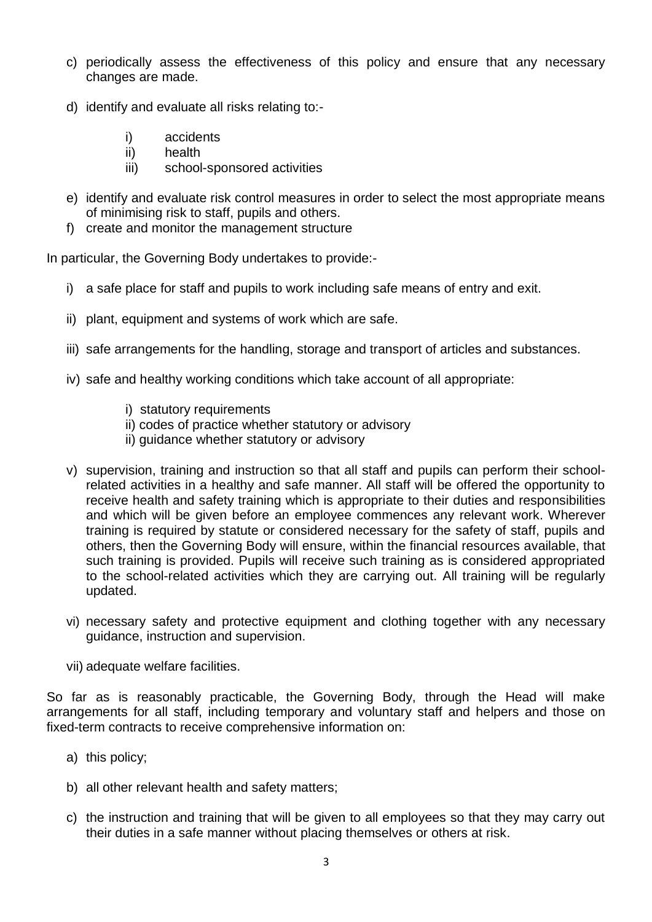- c) periodically assess the effectiveness of this policy and ensure that any necessary changes are made.
- d) identify and evaluate all risks relating to:
	- i) accidents
	- ii) health
	- iii) school-sponsored activities
- e) identify and evaluate risk control measures in order to select the most appropriate means of minimising risk to staff, pupils and others.
- f) create and monitor the management structure

In particular, the Governing Body undertakes to provide:-

- i) a safe place for staff and pupils to work including safe means of entry and exit.
- ii) plant, equipment and systems of work which are safe.
- iii) safe arrangements for the handling, storage and transport of articles and substances.
- iv) safe and healthy working conditions which take account of all appropriate:
	- i) statutory requirements
	- ii) codes of practice whether statutory or advisory
	- ii) guidance whether statutory or advisory
- v) supervision, training and instruction so that all staff and pupils can perform their schoolrelated activities in a healthy and safe manner. All staff will be offered the opportunity to receive health and safety training which is appropriate to their duties and responsibilities and which will be given before an employee commences any relevant work. Wherever training is required by statute or considered necessary for the safety of staff, pupils and others, then the Governing Body will ensure, within the financial resources available, that such training is provided. Pupils will receive such training as is considered appropriated to the school-related activities which they are carrying out. All training will be regularly updated.
- vi) necessary safety and protective equipment and clothing together with any necessary guidance, instruction and supervision.
- vii) adequate welfare facilities.

So far as is reasonably practicable, the Governing Body, through the Head will make arrangements for all staff, including temporary and voluntary staff and helpers and those on fixed-term contracts to receive comprehensive information on:

- a) this policy;
- b) all other relevant health and safety matters;
- c) the instruction and training that will be given to all employees so that they may carry out their duties in a safe manner without placing themselves or others at risk.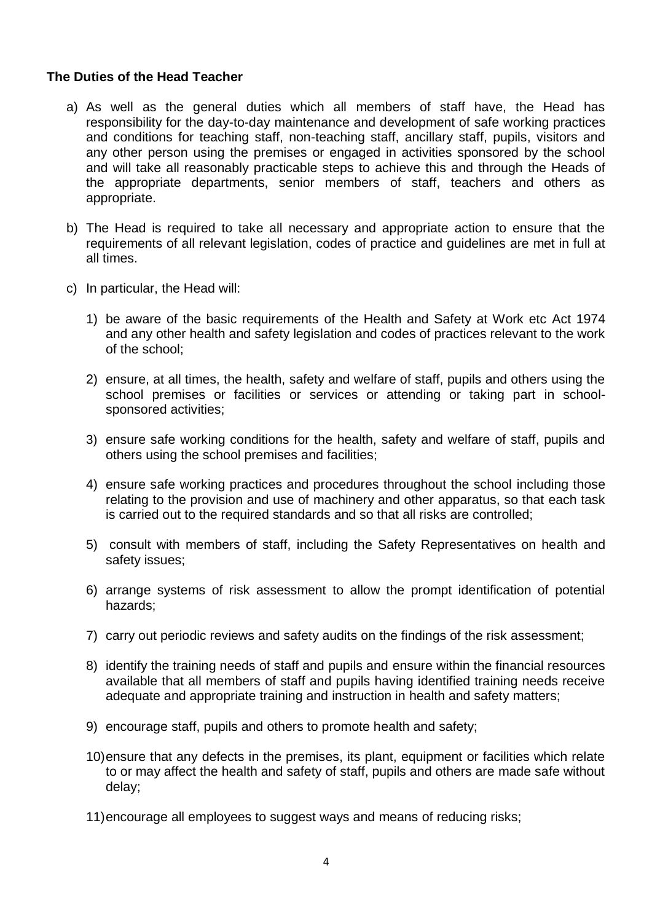#### **The Duties of the Head Teacher**

- a) As well as the general duties which all members of staff have, the Head has responsibility for the day-to-day maintenance and development of safe working practices and conditions for teaching staff, non-teaching staff, ancillary staff, pupils, visitors and any other person using the premises or engaged in activities sponsored by the school and will take all reasonably practicable steps to achieve this and through the Heads of the appropriate departments, senior members of staff, teachers and others as appropriate.
- b) The Head is required to take all necessary and appropriate action to ensure that the requirements of all relevant legislation, codes of practice and guidelines are met in full at all times.
- c) In particular, the Head will:
	- 1) be aware of the basic requirements of the Health and Safety at Work etc Act 1974 and any other health and safety legislation and codes of practices relevant to the work of the school;
	- 2) ensure, at all times, the health, safety and welfare of staff, pupils and others using the school premises or facilities or services or attending or taking part in schoolsponsored activities;
	- 3) ensure safe working conditions for the health, safety and welfare of staff, pupils and others using the school premises and facilities;
	- 4) ensure safe working practices and procedures throughout the school including those relating to the provision and use of machinery and other apparatus, so that each task is carried out to the required standards and so that all risks are controlled;
	- 5) consult with members of staff, including the Safety Representatives on health and safety issues;
	- 6) arrange systems of risk assessment to allow the prompt identification of potential hazards;
	- 7) carry out periodic reviews and safety audits on the findings of the risk assessment;
	- 8) identify the training needs of staff and pupils and ensure within the financial resources available that all members of staff and pupils having identified training needs receive adequate and appropriate training and instruction in health and safety matters;
	- 9) encourage staff, pupils and others to promote health and safety;
	- 10)ensure that any defects in the premises, its plant, equipment or facilities which relate to or may affect the health and safety of staff, pupils and others are made safe without delay;
	- 11)encourage all employees to suggest ways and means of reducing risks;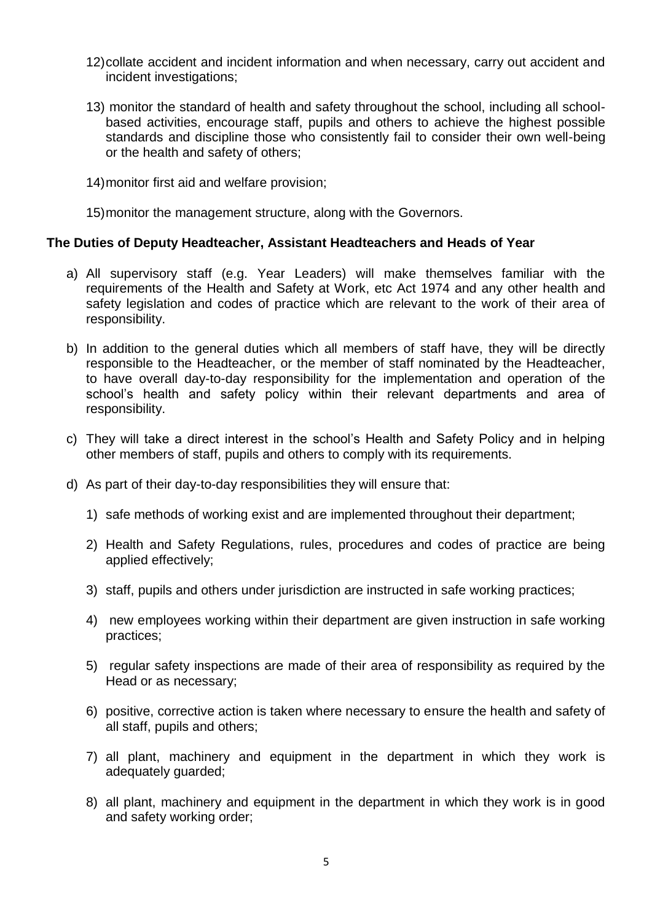- 12)collate accident and incident information and when necessary, carry out accident and incident investigations;
- 13) monitor the standard of health and safety throughout the school, including all schoolbased activities, encourage staff, pupils and others to achieve the highest possible standards and discipline those who consistently fail to consider their own well-being or the health and safety of others;
- 14)monitor first aid and welfare provision;

15)monitor the management structure, along with the Governors.

#### **The Duties of Deputy Headteacher, Assistant Headteachers and Heads of Year**

- a) All supervisory staff (e.g. Year Leaders) will make themselves familiar with the requirements of the Health and Safety at Work, etc Act 1974 and any other health and safety legislation and codes of practice which are relevant to the work of their area of responsibility.
- b) In addition to the general duties which all members of staff have, they will be directly responsible to the Headteacher, or the member of staff nominated by the Headteacher, to have overall day-to-day responsibility for the implementation and operation of the school's health and safety policy within their relevant departments and area of responsibility.
- c) They will take a direct interest in the school's Health and Safety Policy and in helping other members of staff, pupils and others to comply with its requirements.
- d) As part of their day-to-day responsibilities they will ensure that:
	- 1) safe methods of working exist and are implemented throughout their department;
	- 2) Health and Safety Regulations, rules, procedures and codes of practice are being applied effectively;
	- 3) staff, pupils and others under jurisdiction are instructed in safe working practices;
	- 4) new employees working within their department are given instruction in safe working practices;
	- 5) regular safety inspections are made of their area of responsibility as required by the Head or as necessary;
	- 6) positive, corrective action is taken where necessary to ensure the health and safety of all staff, pupils and others;
	- 7) all plant, machinery and equipment in the department in which they work is adequately guarded;
	- 8) all plant, machinery and equipment in the department in which they work is in good and safety working order;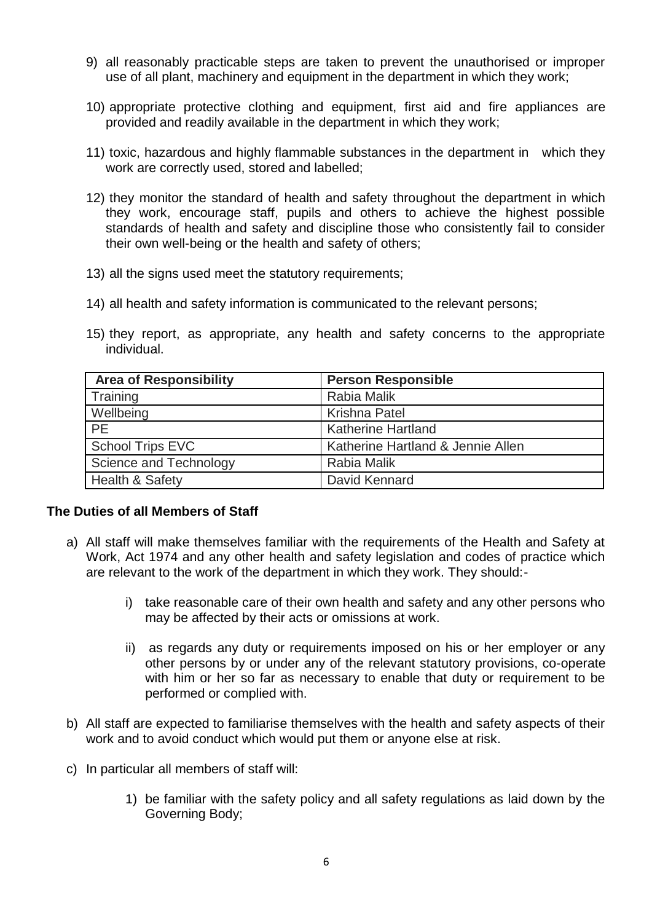- 9) all reasonably practicable steps are taken to prevent the unauthorised or improper use of all plant, machinery and equipment in the department in which they work;
- 10) appropriate protective clothing and equipment, first aid and fire appliances are provided and readily available in the department in which they work;
- 11) toxic, hazardous and highly flammable substances in the department in which they work are correctly used, stored and labelled;
- 12) they monitor the standard of health and safety throughout the department in which they work, encourage staff, pupils and others to achieve the highest possible standards of health and safety and discipline those who consistently fail to consider their own well-being or the health and safety of others;
- 13) all the signs used meet the statutory requirements;
- 14) all health and safety information is communicated to the relevant persons;
- 15) they report, as appropriate, any health and safety concerns to the appropriate individual.

| <b>Area of Responsibility</b> | <b>Person Responsible</b>         |
|-------------------------------|-----------------------------------|
| Training                      | Rabia Malik                       |
| Wellbeing                     | Krishna Patel                     |
| <b>PE</b>                     | <b>Katherine Hartland</b>         |
| School Trips EVC              | Katherine Hartland & Jennie Allen |
| Science and Technology        | Rabia Malik                       |
| <b>Health &amp; Safety</b>    | David Kennard                     |

#### **The Duties of all Members of Staff**

- a) All staff will make themselves familiar with the requirements of the Health and Safety at Work, Act 1974 and any other health and safety legislation and codes of practice which are relevant to the work of the department in which they work. They should:
	- i) take reasonable care of their own health and safety and any other persons who may be affected by their acts or omissions at work.
	- ii) as regards any duty or requirements imposed on his or her employer or any other persons by or under any of the relevant statutory provisions, co-operate with him or her so far as necessary to enable that duty or requirement to be performed or complied with.
- b) All staff are expected to familiarise themselves with the health and safety aspects of their work and to avoid conduct which would put them or anyone else at risk.
- c) In particular all members of staff will:
	- 1) be familiar with the safety policy and all safety regulations as laid down by the Governing Body;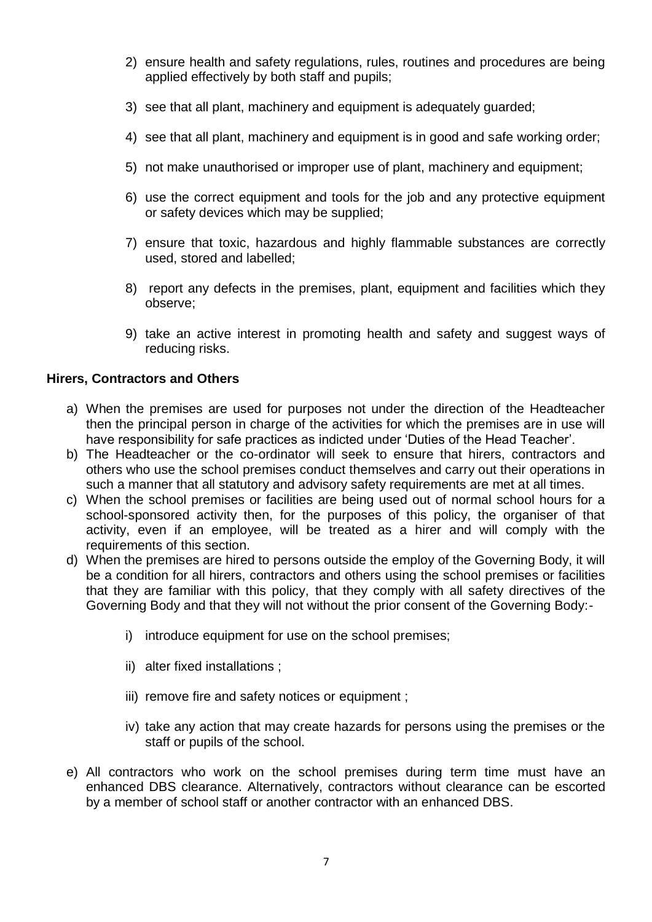- 2) ensure health and safety regulations, rules, routines and procedures are being applied effectively by both staff and pupils;
- 3) see that all plant, machinery and equipment is adequately guarded;
- 4) see that all plant, machinery and equipment is in good and safe working order;
- 5) not make unauthorised or improper use of plant, machinery and equipment;
- 6) use the correct equipment and tools for the job and any protective equipment or safety devices which may be supplied;
- 7) ensure that toxic, hazardous and highly flammable substances are correctly used, stored and labelled;
- 8) report any defects in the premises, plant, equipment and facilities which they observe;
- 9) take an active interest in promoting health and safety and suggest ways of reducing risks.

#### **Hirers, Contractors and Others**

- a) When the premises are used for purposes not under the direction of the Headteacher then the principal person in charge of the activities for which the premises are in use will have responsibility for safe practices as indicted under 'Duties of the Head Teacher'.
- b) The Headteacher or the co-ordinator will seek to ensure that hirers, contractors and others who use the school premises conduct themselves and carry out their operations in such a manner that all statutory and advisory safety requirements are met at all times.
- c) When the school premises or facilities are being used out of normal school hours for a school-sponsored activity then, for the purposes of this policy, the organiser of that activity, even if an employee, will be treated as a hirer and will comply with the requirements of this section.
- d) When the premises are hired to persons outside the employ of the Governing Body, it will be a condition for all hirers, contractors and others using the school premises or facilities that they are familiar with this policy, that they comply with all safety directives of the Governing Body and that they will not without the prior consent of the Governing Body:
	- i) introduce equipment for use on the school premises;
	- ii) alter fixed installations ;
	- iii) remove fire and safety notices or equipment;
	- iv) take any action that may create hazards for persons using the premises or the staff or pupils of the school.
- e) All contractors who work on the school premises during term time must have an enhanced DBS clearance. Alternatively, contractors without clearance can be escorted by a member of school staff or another contractor with an enhanced DBS.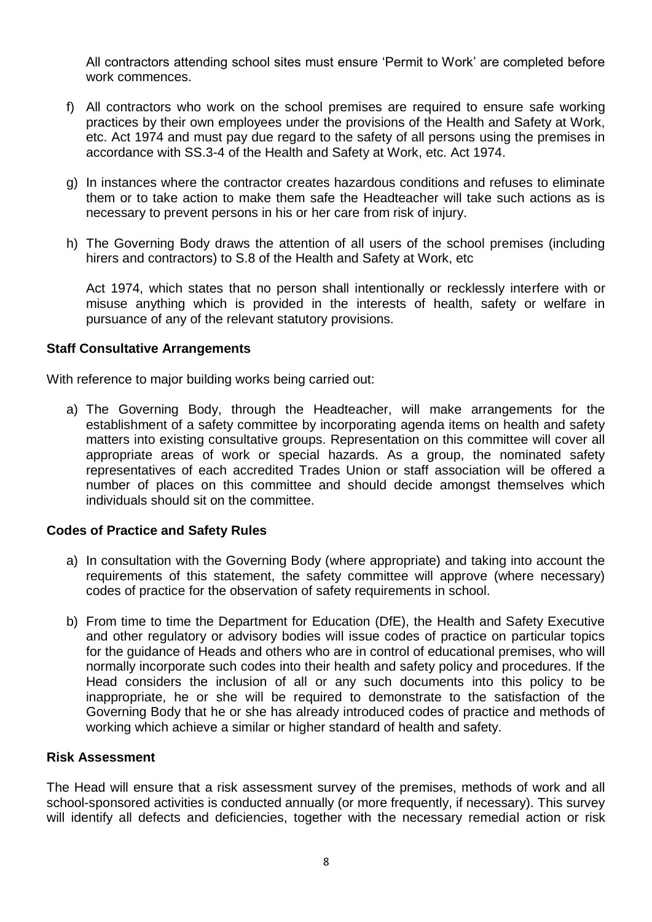All contractors attending school sites must ensure 'Permit to Work' are completed before work commences.

- f) All contractors who work on the school premises are required to ensure safe working practices by their own employees under the provisions of the Health and Safety at Work, etc. Act 1974 and must pay due regard to the safety of all persons using the premises in accordance with SS.3-4 of the Health and Safety at Work, etc. Act 1974.
- g) In instances where the contractor creates hazardous conditions and refuses to eliminate them or to take action to make them safe the Headteacher will take such actions as is necessary to prevent persons in his or her care from risk of injury.
- h) The Governing Body draws the attention of all users of the school premises (including hirers and contractors) to S.8 of the Health and Safety at Work, etc

Act 1974, which states that no person shall intentionally or recklessly interfere with or misuse anything which is provided in the interests of health, safety or welfare in pursuance of any of the relevant statutory provisions.

#### **Staff Consultative Arrangements**

With reference to major building works being carried out:

a) The Governing Body, through the Headteacher, will make arrangements for the establishment of a safety committee by incorporating agenda items on health and safety matters into existing consultative groups. Representation on this committee will cover all appropriate areas of work or special hazards. As a group, the nominated safety representatives of each accredited Trades Union or staff association will be offered a number of places on this committee and should decide amongst themselves which individuals should sit on the committee.

#### **Codes of Practice and Safety Rules**

- a) In consultation with the Governing Body (where appropriate) and taking into account the requirements of this statement, the safety committee will approve (where necessary) codes of practice for the observation of safety requirements in school.
- b) From time to time the Department for Education (DfE), the Health and Safety Executive and other regulatory or advisory bodies will issue codes of practice on particular topics for the guidance of Heads and others who are in control of educational premises, who will normally incorporate such codes into their health and safety policy and procedures. If the Head considers the inclusion of all or any such documents into this policy to be inappropriate, he or she will be required to demonstrate to the satisfaction of the Governing Body that he or she has already introduced codes of practice and methods of working which achieve a similar or higher standard of health and safety.

#### **Risk Assessment**

The Head will ensure that a risk assessment survey of the premises, methods of work and all school-sponsored activities is conducted annually (or more frequently, if necessary). This survey will identify all defects and deficiencies, together with the necessary remedial action or risk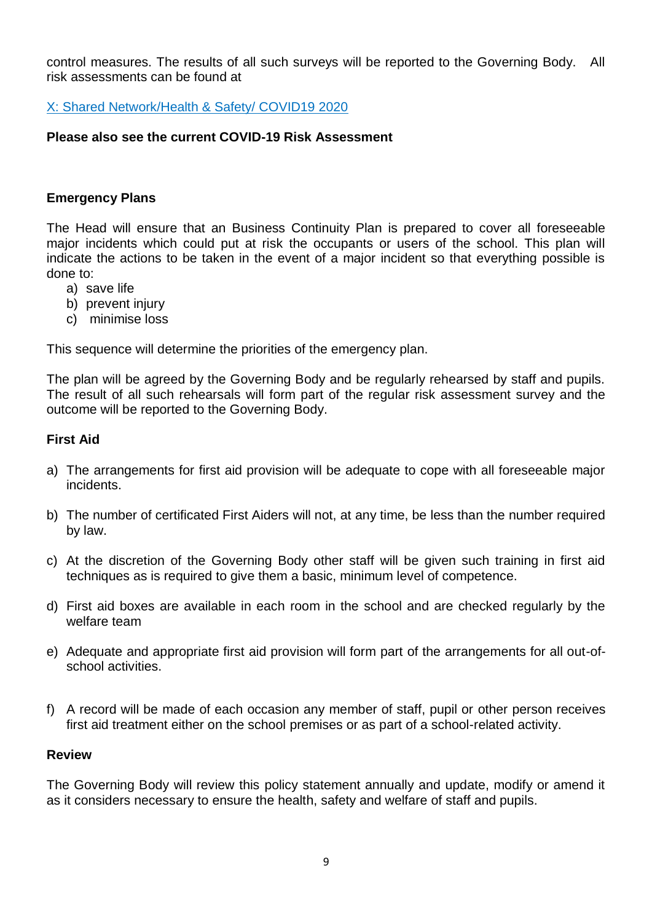control measures. The results of all such surveys will be reported to the Governing Body. All risk assessments can be found at

X: Shared Network/Health & Safety/ COVID19 2020

#### **Please also see the current COVID-19 Risk Assessment**

#### **Emergency Plans**

The Head will ensure that an Business Continuity Plan is prepared to cover all foreseeable major incidents which could put at risk the occupants or users of the school. This plan will indicate the actions to be taken in the event of a major incident so that everything possible is done to:

- a) save life
- b) prevent injury
- c) minimise loss

This sequence will determine the priorities of the emergency plan.

The plan will be agreed by the Governing Body and be regularly rehearsed by staff and pupils. The result of all such rehearsals will form part of the regular risk assessment survey and the outcome will be reported to the Governing Body.

#### **First Aid**

- a) The arrangements for first aid provision will be adequate to cope with all foreseeable major incidents.
- b) The number of certificated First Aiders will not, at any time, be less than the number required by law.
- c) At the discretion of the Governing Body other staff will be given such training in first aid techniques as is required to give them a basic, minimum level of competence.
- d) First aid boxes are available in each room in the school and are checked regularly by the welfare team
- e) Adequate and appropriate first aid provision will form part of the arrangements for all out-ofschool activities.
- f) A record will be made of each occasion any member of staff, pupil or other person receives first aid treatment either on the school premises or as part of a school-related activity.

#### **Review**

The Governing Body will review this policy statement annually and update, modify or amend it as it considers necessary to ensure the health, safety and welfare of staff and pupils.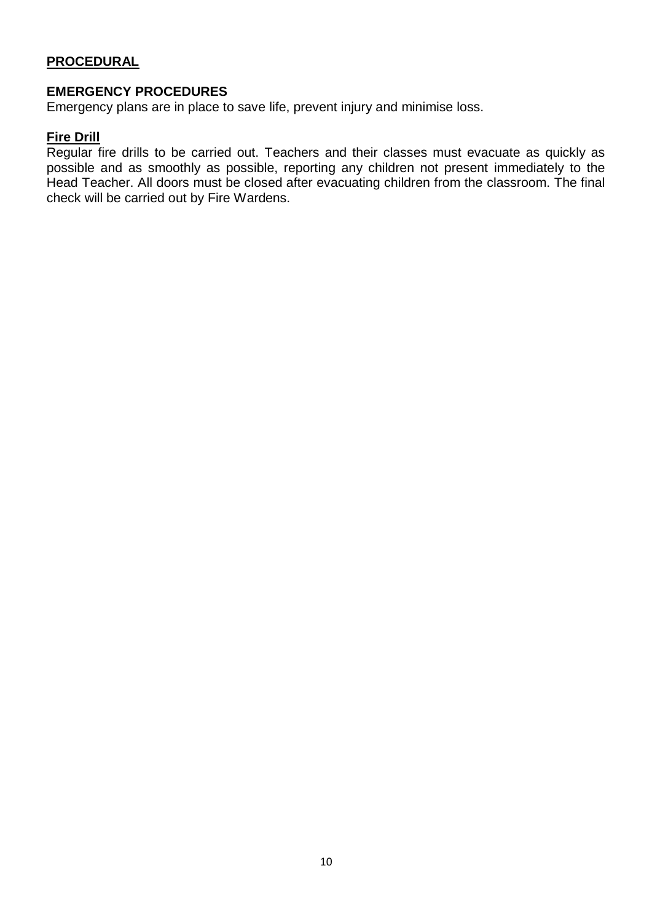#### **PROCEDURAL**

#### **EMERGENCY PROCEDURES**

Emergency plans are in place to save life, prevent injury and minimise loss.

#### **Fire Drill**

Regular fire drills to be carried out. Teachers and their classes must evacuate as quickly as possible and as smoothly as possible, reporting any children not present immediately to the Head Teacher. All doors must be closed after evacuating children from the classroom. The final check will be carried out by Fire Wardens.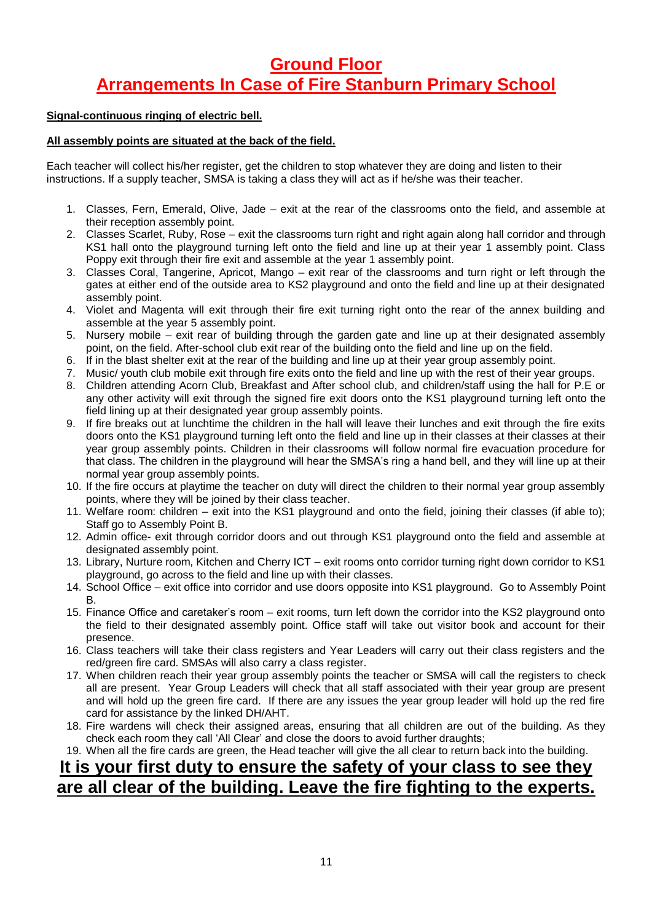# **Ground Floor Arrangements In Case of Fire Stanburn Primary School**

#### **Signal-continuous ringing of electric bell.**

#### **All assembly points are situated at the back of the field.**

Each teacher will collect his/her register, get the children to stop whatever they are doing and listen to their instructions. If a supply teacher, SMSA is taking a class they will act as if he/she was their teacher.

- 1. Classes, Fern, Emerald, Olive, Jade exit at the rear of the classrooms onto the field, and assemble at their reception assembly point.
- 2. Classes Scarlet, Ruby, Rose exit the classrooms turn right and right again along hall corridor and through KS1 hall onto the playground turning left onto the field and line up at their year 1 assembly point. Class Poppy exit through their fire exit and assemble at the year 1 assembly point.
- 3. Classes Coral, Tangerine, Apricot, Mango exit rear of the classrooms and turn right or left through the gates at either end of the outside area to KS2 playground and onto the field and line up at their designated assembly point.
- 4. Violet and Magenta will exit through their fire exit turning right onto the rear of the annex building and assemble at the year 5 assembly point.
- 5. Nursery mobile exit rear of building through the garden gate and line up at their designated assembly point, on the field. After-school club exit rear of the building onto the field and line up on the field.
- 6. If in the blast shelter exit at the rear of the building and line up at their year group assembly point.
- 7. Music/ youth club mobile exit through fire exits onto the field and line up with the rest of their year groups.
- 8. Children attending Acorn Club, Breakfast and After school club, and children/staff using the hall for P.E or any other activity will exit through the signed fire exit doors onto the KS1 playground turning left onto the field lining up at their designated year group assembly points.
- 9. If fire breaks out at lunchtime the children in the hall will leave their lunches and exit through the fire exits doors onto the KS1 playground turning left onto the field and line up in their classes at their classes at their year group assembly points. Children in their classrooms will follow normal fire evacuation procedure for that class. The children in the playground will hear the SMSA's ring a hand bell, and they will line up at their normal year group assembly points.
- 10. If the fire occurs at playtime the teacher on duty will direct the children to their normal year group assembly points, where they will be joined by their class teacher.
- 11. Welfare room: children exit into the KS1 playground and onto the field, joining their classes (if able to); Staff go to Assembly Point B.
- 12. Admin office- exit through corridor doors and out through KS1 playground onto the field and assemble at designated assembly point.
- 13. Library, Nurture room, Kitchen and Cherry ICT exit rooms onto corridor turning right down corridor to KS1 playground, go across to the field and line up with their classes.
- 14. School Office exit office into corridor and use doors opposite into KS1 playground. Go to Assembly Point B.
- 15. Finance Office and caretaker's room exit rooms, turn left down the corridor into the KS2 playground onto the field to their designated assembly point. Office staff will take out visitor book and account for their presence.
- 16. Class teachers will take their class registers and Year Leaders will carry out their class registers and the red/green fire card. SMSAs will also carry a class register.
- 17. When children reach their year group assembly points the teacher or SMSA will call the registers to check all are present. Year Group Leaders will check that all staff associated with their year group are present and will hold up the green fire card. If there are any issues the year group leader will hold up the red fire card for assistance by the linked DH/AHT.
- 18. Fire wardens will check their assigned areas, ensuring that all children are out of the building. As they check each room they call 'All Clear' and close the doors to avoid further draughts;
- 19. When all the fire cards are green, the Head teacher will give the all clear to return back into the building.

# **It is your first duty to ensure the safety of your class to see they are all clear of the building. Leave the fire fighting to the experts.**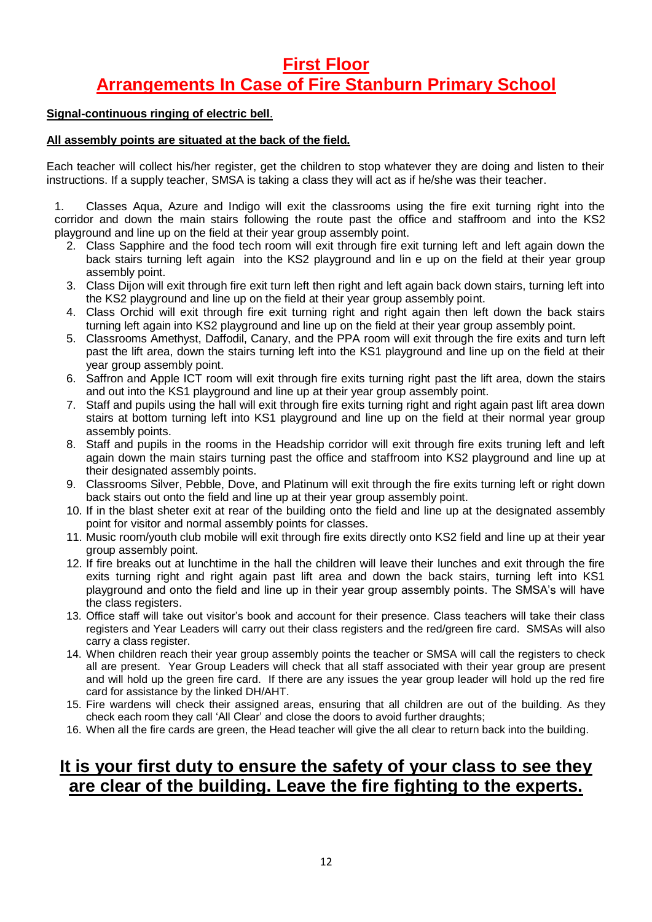## **First Floor Arrangements In Case of Fire Stanburn Primary School**

#### **Signal-continuous ringing of electric bell**.

#### **All assembly points are situated at the back of the field.**

Each teacher will collect his/her register, get the children to stop whatever they are doing and listen to their instructions. If a supply teacher, SMSA is taking a class they will act as if he/she was their teacher.

1. Classes Aqua, Azure and Indigo will exit the classrooms using the fire exit turning right into the corridor and down the main stairs following the route past the office and staffroom and into the KS2 playground and line up on the field at their year group assembly point.

- 2. Class Sapphire and the food tech room will exit through fire exit turning left and left again down the back stairs turning left again into the KS2 playground and lin e up on the field at their year group assembly point.
- 3. Class Dijon will exit through fire exit turn left then right and left again back down stairs, turning left into the KS2 playground and line up on the field at their year group assembly point.
- 4. Class Orchid will exit through fire exit turning right and right again then left down the back stairs turning left again into KS2 playground and line up on the field at their year group assembly point.
- 5. Classrooms Amethyst, Daffodil, Canary, and the PPA room will exit through the fire exits and turn left past the lift area, down the stairs turning left into the KS1 playground and line up on the field at their year group assembly point.
- 6. Saffron and Apple ICT room will exit through fire exits turning right past the lift area, down the stairs and out into the KS1 playground and line up at their year group assembly point.
- 7. Staff and pupils using the hall will exit through fire exits turning right and right again past lift area down stairs at bottom turning left into KS1 playground and line up on the field at their normal year group assembly points.
- 8. Staff and pupils in the rooms in the Headship corridor will exit through fire exits truning left and left again down the main stairs turning past the office and staffroom into KS2 playground and line up at their designated assembly points.
- 9. Classrooms Silver, Pebble, Dove, and Platinum will exit through the fire exits turning left or right down back stairs out onto the field and line up at their year group assembly point.
- 10. If in the blast sheter exit at rear of the building onto the field and line up at the designated assembly point for visitor and normal assembly points for classes.
- 11. Music room/youth club mobile will exit through fire exits directly onto KS2 field and line up at their year group assembly point.
- 12. If fire breaks out at lunchtime in the hall the children will leave their lunches and exit through the fire exits turning right and right again past lift area and down the back stairs, turning left into KS1 playground and onto the field and line up in their year group assembly points. The SMSA's will have the class registers.
- 13. Office staff will take out visitor's book and account for their presence. Class teachers will take their class registers and Year Leaders will carry out their class registers and the red/green fire card. SMSAs will also carry a class register.
- 14. When children reach their year group assembly points the teacher or SMSA will call the registers to check all are present. Year Group Leaders will check that all staff associated with their year group are present and will hold up the green fire card. If there are any issues the year group leader will hold up the red fire card for assistance by the linked DH/AHT.
- 15. Fire wardens will check their assigned areas, ensuring that all children are out of the building. As they check each room they call 'All Clear' and close the doors to avoid further draughts;
- 16. When all the fire cards are green, the Head teacher will give the all clear to return back into the building.

# **It is your first duty to ensure the safety of your class to see they are clear of the building. Leave the fire fighting to the experts.**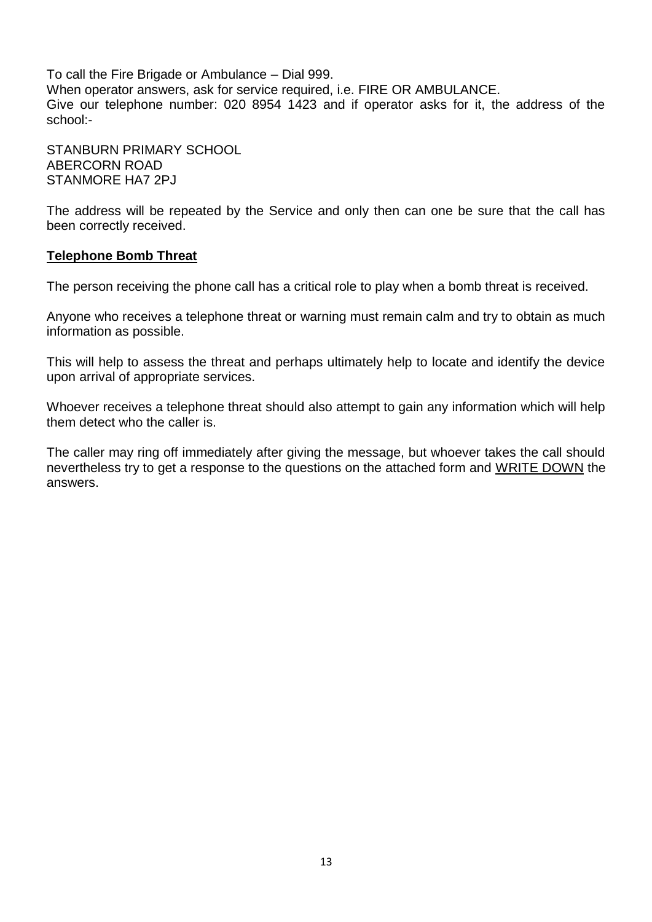To call the Fire Brigade or Ambulance – Dial 999. When operator answers, ask for service required, i.e. FIRE OR AMBULANCE. Give our telephone number: 020 8954 1423 and if operator asks for it, the address of the school:-

STANBURN PRIMARY SCHOOL ABERCORN ROAD STANMORE HA7 2PJ

The address will be repeated by the Service and only then can one be sure that the call has been correctly received.

#### **Telephone Bomb Threat**

The person receiving the phone call has a critical role to play when a bomb threat is received.

Anyone who receives a telephone threat or warning must remain calm and try to obtain as much information as possible.

This will help to assess the threat and perhaps ultimately help to locate and identify the device upon arrival of appropriate services.

Whoever receives a telephone threat should also attempt to gain any information which will help them detect who the caller is.

The caller may ring off immediately after giving the message, but whoever takes the call should nevertheless try to get a response to the questions on the attached form and WRITE DOWN the answers.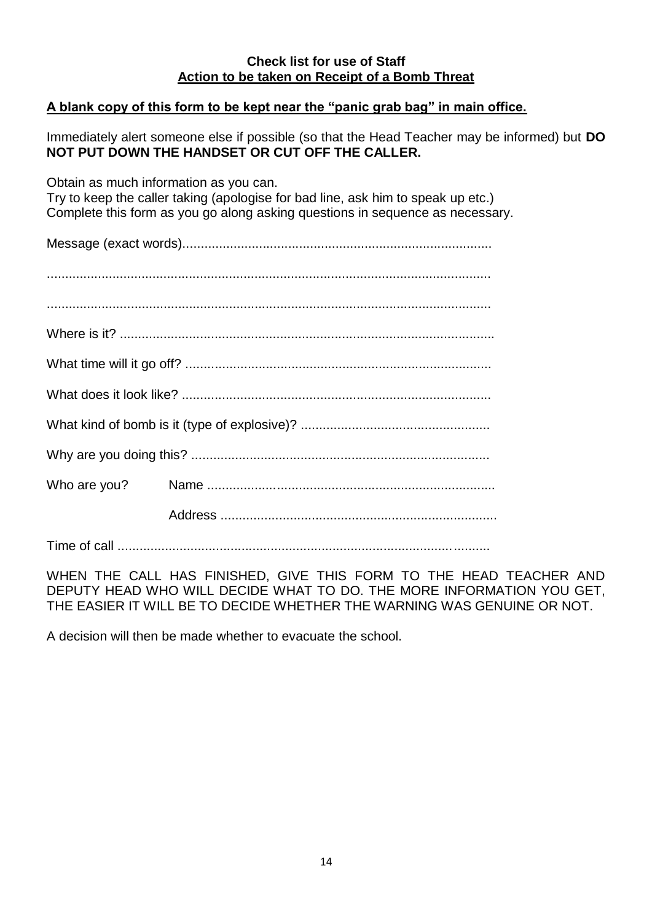#### **Check list for use of Staff Action to be taken on Receipt of a Bomb Threat**

#### **A blank copy of this form to be kept near the "panic grab bag" in main office.**

Immediately alert someone else if possible (so that the Head Teacher may be informed) but **DO NOT PUT DOWN THE HANDSET OR CUT OFF THE CALLER.** 

Obtain as much information as you can. Try to keep the caller taking (apologise for bad line, ask him to speak up etc.) Complete this form as you go along asking questions in sequence as necessary.

Message (exact words).....................................................................................

Time of call ......................................................................................................

WHEN THE CALL HAS FINISHED, GIVE THIS FORM TO THE HEAD TEACHER AND DEPUTY HEAD WHO WILL DECIDE WHAT TO DO. THE MORE INFORMATION YOU GET, THE EASIER IT WILL BE TO DECIDE WHETHER THE WARNING WAS GENUINE OR NOT.

A decision will then be made whether to evacuate the school.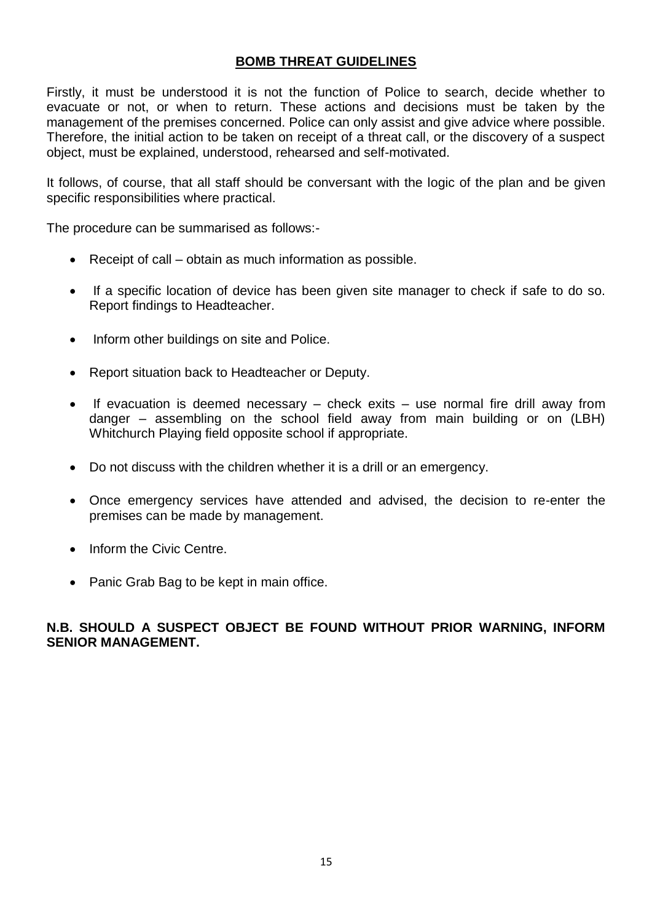#### **BOMB THREAT GUIDELINES**

Firstly, it must be understood it is not the function of Police to search, decide whether to evacuate or not, or when to return. These actions and decisions must be taken by the management of the premises concerned. Police can only assist and give advice where possible. Therefore, the initial action to be taken on receipt of a threat call, or the discovery of a suspect object, must be explained, understood, rehearsed and self-motivated.

It follows, of course, that all staff should be conversant with the logic of the plan and be given specific responsibilities where practical.

The procedure can be summarised as follows:-

- Receipt of call obtain as much information as possible.
- If a specific location of device has been given site manager to check if safe to do so. Report findings to Headteacher.
- Inform other buildings on site and Police.
- Report situation back to Headteacher or Deputy.
- If evacuation is deemed necessary check exits use normal fire drill away from danger – assembling on the school field away from main building or on (LBH) Whitchurch Playing field opposite school if appropriate.
- Do not discuss with the children whether it is a drill or an emergency.
- Once emergency services have attended and advised, the decision to re-enter the premises can be made by management.
- Inform the Civic Centre.
- Panic Grab Bag to be kept in main office.

#### **N.B. SHOULD A SUSPECT OBJECT BE FOUND WITHOUT PRIOR WARNING, INFORM SENIOR MANAGEMENT.**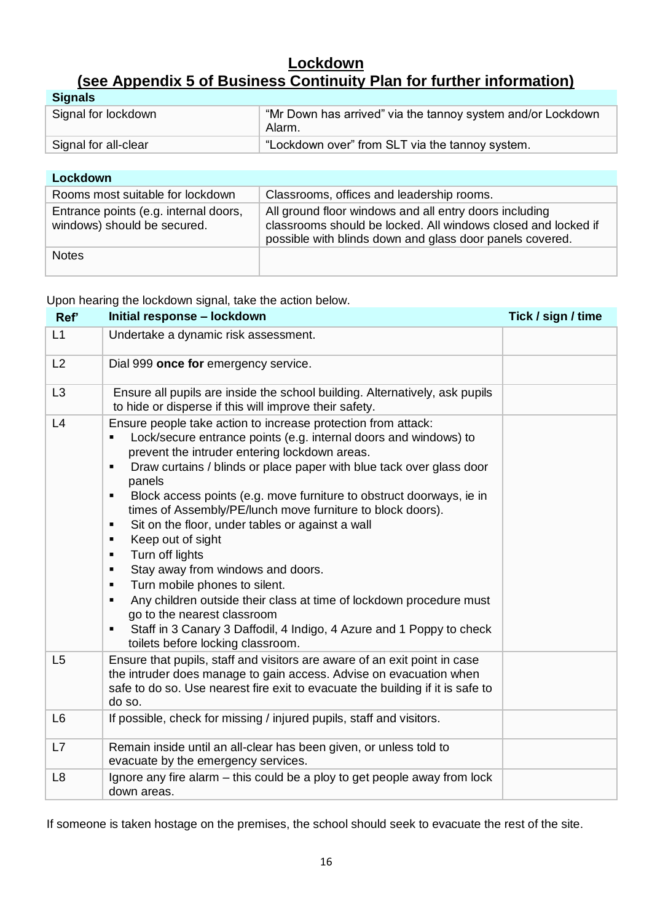### **Lockdown (see Appendix 5 of Business Continuity Plan for further information)**

| <b>Signals</b>       |                                                                       |  |
|----------------------|-----------------------------------------------------------------------|--|
| Signal for lockdown  | "Mr Down has arrived" via the tannoy system and/or Lockdown<br>Alarm. |  |
| Signal for all-clear | "Lockdown over" from SLT via the tannoy system.                       |  |

| Lockdown                                                             |                                                                                                                                                                                     |  |
|----------------------------------------------------------------------|-------------------------------------------------------------------------------------------------------------------------------------------------------------------------------------|--|
| Rooms most suitable for lockdown                                     | Classrooms, offices and leadership rooms.                                                                                                                                           |  |
| Entrance points (e.g. internal doors,<br>windows) should be secured. | All ground floor windows and all entry doors including<br>classrooms should be locked. All windows closed and locked if<br>possible with blinds down and glass door panels covered. |  |
| <b>Notes</b>                                                         |                                                                                                                                                                                     |  |

Upon hearing the lockdown signal, take the action below.

| Ref'           | Initial response - lockdown                                                                                                                                                                                                                                                                                                                                                                                                                                                                                                                                                                                                                                                                                                                                                                                                                                  | Tick / sign / time |
|----------------|--------------------------------------------------------------------------------------------------------------------------------------------------------------------------------------------------------------------------------------------------------------------------------------------------------------------------------------------------------------------------------------------------------------------------------------------------------------------------------------------------------------------------------------------------------------------------------------------------------------------------------------------------------------------------------------------------------------------------------------------------------------------------------------------------------------------------------------------------------------|--------------------|
| L1             | Undertake a dynamic risk assessment.                                                                                                                                                                                                                                                                                                                                                                                                                                                                                                                                                                                                                                                                                                                                                                                                                         |                    |
| L2             | Dial 999 once for emergency service.                                                                                                                                                                                                                                                                                                                                                                                                                                                                                                                                                                                                                                                                                                                                                                                                                         |                    |
| L3             | Ensure all pupils are inside the school building. Alternatively, ask pupils<br>to hide or disperse if this will improve their safety.                                                                                                                                                                                                                                                                                                                                                                                                                                                                                                                                                                                                                                                                                                                        |                    |
| L4             | Ensure people take action to increase protection from attack:<br>Lock/secure entrance points (e.g. internal doors and windows) to<br>prevent the intruder entering lockdown areas.<br>Draw curtains / blinds or place paper with blue tack over glass door<br>panels<br>Block access points (e.g. move furniture to obstruct doorways, ie in<br>٠<br>times of Assembly/PE/lunch move furniture to block doors).<br>Sit on the floor, under tables or against a wall<br>٠<br>Keep out of sight<br>٠<br>Turn off lights<br>٠<br>Stay away from windows and doors.<br>$\blacksquare$<br>Turn mobile phones to silent.<br>$\blacksquare$<br>Any children outside their class at time of lockdown procedure must<br>go to the nearest classroom<br>Staff in 3 Canary 3 Daffodil, 4 Indigo, 4 Azure and 1 Poppy to check<br>٠<br>toilets before locking classroom. |                    |
| L5             | Ensure that pupils, staff and visitors are aware of an exit point in case<br>the intruder does manage to gain access. Advise on evacuation when<br>safe to do so. Use nearest fire exit to evacuate the building if it is safe to<br>do so.                                                                                                                                                                                                                                                                                                                                                                                                                                                                                                                                                                                                                  |                    |
| L <sub>6</sub> | If possible, check for missing / injured pupils, staff and visitors.                                                                                                                                                                                                                                                                                                                                                                                                                                                                                                                                                                                                                                                                                                                                                                                         |                    |
| L7             | Remain inside until an all-clear has been given, or unless told to<br>evacuate by the emergency services.                                                                                                                                                                                                                                                                                                                                                                                                                                                                                                                                                                                                                                                                                                                                                    |                    |
| L <sub>8</sub> | Ignore any fire alarm – this could be a ploy to get people away from lock<br>down areas.                                                                                                                                                                                                                                                                                                                                                                                                                                                                                                                                                                                                                                                                                                                                                                     |                    |

If someone is taken hostage on the premises, the school should seek to evacuate the rest of the site.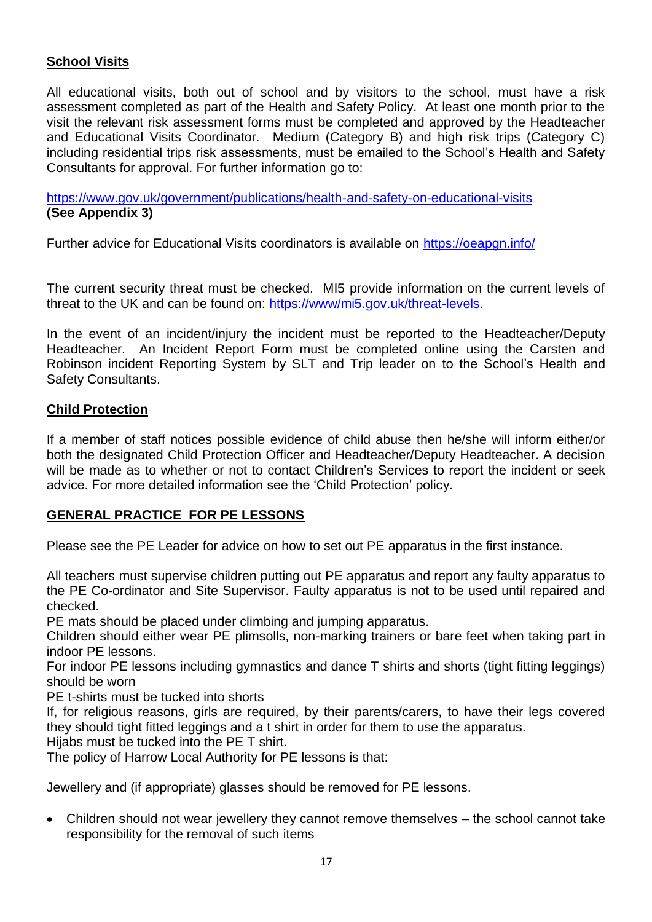#### **School Visits**

All educational visits, both out of school and by visitors to the school, must have a risk assessment completed as part of the Health and Safety Policy. At least one month prior to the visit the relevant risk assessment forms must be completed and approved by the Headteacher and Educational Visits Coordinator. Medium (Category B) and high risk trips (Category C) including residential trips risk assessments, must be emailed to the School's Health and Safety Consultants for approval. For further information go to:

<https://www.gov.uk/government/publications/health-and-safety-on-educational-visits> **(See Appendix 3)**

Further advice for Educational Visits coordinators is available on<https://oeapgn.info/>

The current security threat must be checked. MI5 provide information on the current levels of threat to the UK and can be found on: [https://www/mi5.gov.uk/threat-levels.](https://www/mi5.gov.uk/threat-levels)

In the event of an incident/injury the incident must be reported to the Headteacher/Deputy Headteacher. An Incident Report Form must be completed online using the Carsten and Robinson incident Reporting System by SLT and Trip leader on to the School's Health and Safety Consultants.

#### **Child Protection**

If a member of staff notices possible evidence of child abuse then he/she will inform either/or both the designated Child Protection Officer and Headteacher/Deputy Headteacher. A decision will be made as to whether or not to contact Children's Services to report the incident or seek advice. For more detailed information see the 'Child Protection' policy.

#### **GENERAL PRACTICE FOR PE LESSONS**

Please see the PE Leader for advice on how to set out PE apparatus in the first instance.

All teachers must supervise children putting out PE apparatus and report any faulty apparatus to the PE Co-ordinator and Site Supervisor. Faulty apparatus is not to be used until repaired and checked.

PE mats should be placed under climbing and jumping apparatus.

Children should either wear PE plimsolls, non-marking trainers or bare feet when taking part in indoor PE lessons.

For indoor PE lessons including gymnastics and dance T shirts and shorts (tight fitting leggings) should be worn

PE t-shirts must be tucked into shorts

If, for religious reasons, girls are required, by their parents/carers, to have their legs covered they should tight fitted leggings and a t shirt in order for them to use the apparatus. Hijabs must be tucked into the PE T shirt.

The policy of Harrow Local Authority for PE lessons is that:

Jewellery and (if appropriate) glasses should be removed for PE lessons.

 Children should not wear jewellery they cannot remove themselves – the school cannot take responsibility for the removal of such items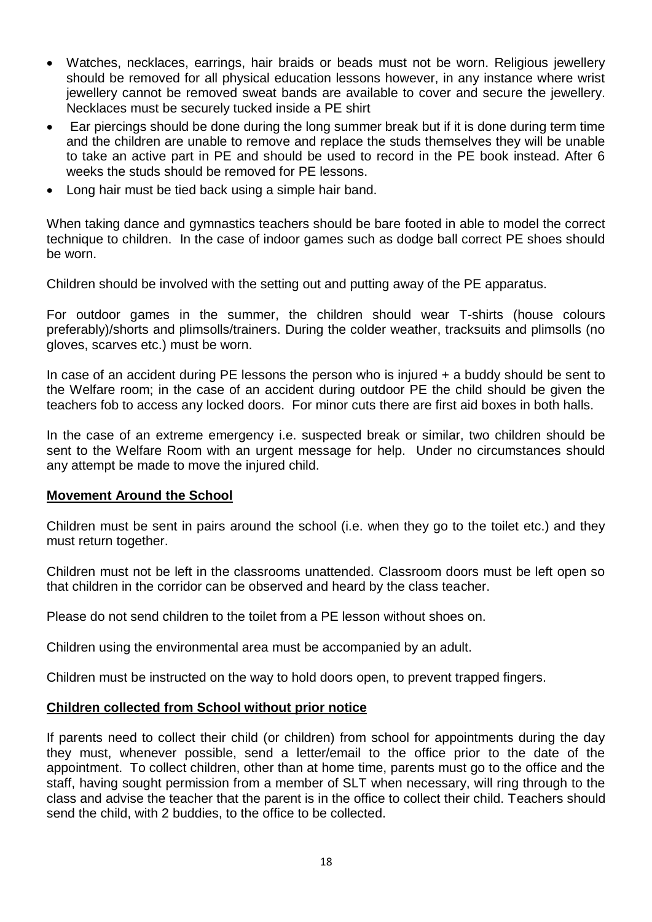- Watches, necklaces, earrings, hair braids or beads must not be worn. Religious jewellery should be removed for all physical education lessons however, in any instance where wrist jewellery cannot be removed sweat bands are available to cover and secure the jewellery. Necklaces must be securely tucked inside a PE shirt
- Ear piercings should be done during the long summer break but if it is done during term time and the children are unable to remove and replace the studs themselves they will be unable to take an active part in PE and should be used to record in the PE book instead. After 6 weeks the studs should be removed for PE lessons.
- Long hair must be tied back using a simple hair band.

When taking dance and gymnastics teachers should be bare footed in able to model the correct technique to children. In the case of indoor games such as dodge ball correct PE shoes should be worn.

Children should be involved with the setting out and putting away of the PE apparatus.

For outdoor games in the summer, the children should wear T-shirts (house colours preferably)/shorts and plimsolls/trainers. During the colder weather, tracksuits and plimsolls (no gloves, scarves etc.) must be worn.

In case of an accident during PE lessons the person who is injured + a buddy should be sent to the Welfare room; in the case of an accident during outdoor PE the child should be given the teachers fob to access any locked doors. For minor cuts there are first aid boxes in both halls.

In the case of an extreme emergency i.e. suspected break or similar, two children should be sent to the Welfare Room with an urgent message for help. Under no circumstances should any attempt be made to move the injured child.

#### **Movement Around the School**

Children must be sent in pairs around the school (i.e. when they go to the toilet etc.) and they must return together.

Children must not be left in the classrooms unattended. Classroom doors must be left open so that children in the corridor can be observed and heard by the class teacher.

Please do not send children to the toilet from a PE lesson without shoes on.

Children using the environmental area must be accompanied by an adult.

Children must be instructed on the way to hold doors open, to prevent trapped fingers.

#### **Children collected from School without prior notice**

If parents need to collect their child (or children) from school for appointments during the day they must, whenever possible, send a letter/email to the office prior to the date of the appointment. To collect children, other than at home time, parents must go to the office and the staff, having sought permission from a member of SLT when necessary, will ring through to the class and advise the teacher that the parent is in the office to collect their child. Teachers should send the child, with 2 buddies, to the office to be collected.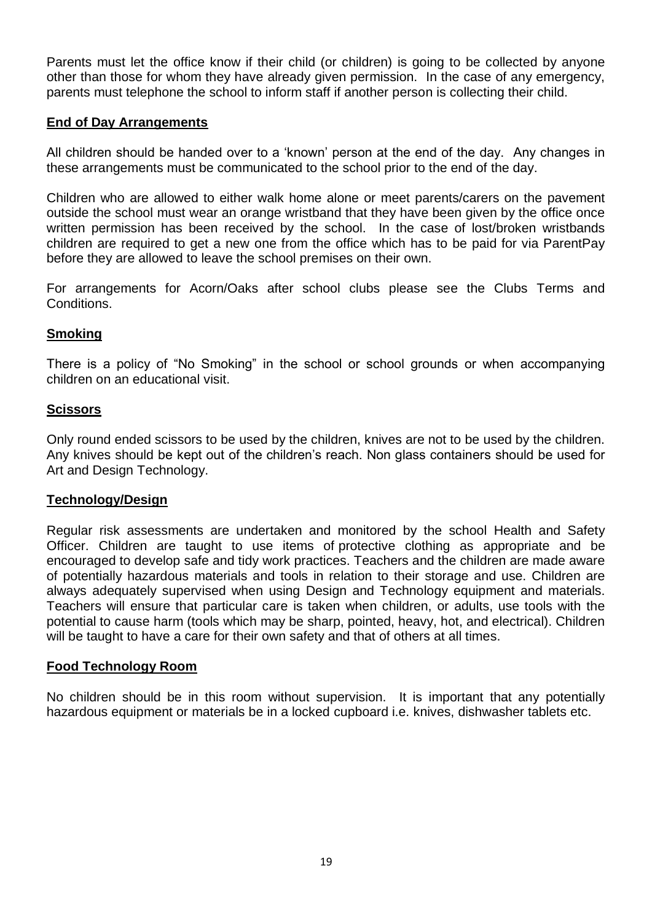Parents must let the office know if their child (or children) is going to be collected by anyone other than those for whom they have already given permission. In the case of any emergency, parents must telephone the school to inform staff if another person is collecting their child.

#### **End of Day Arrangements**

All children should be handed over to a 'known' person at the end of the day. Any changes in these arrangements must be communicated to the school prior to the end of the day.

Children who are allowed to either walk home alone or meet parents/carers on the pavement outside the school must wear an orange wristband that they have been given by the office once written permission has been received by the school. In the case of lost/broken wristbands children are required to get a new one from the office which has to be paid for via ParentPay before they are allowed to leave the school premises on their own.

For arrangements for Acorn/Oaks after school clubs please see the Clubs Terms and Conditions.

#### **Smoking**

There is a policy of "No Smoking" in the school or school grounds or when accompanying children on an educational visit.

#### **Scissors**

Only round ended scissors to be used by the children, knives are not to be used by the children. Any knives should be kept out of the children's reach. Non glass containers should be used for Art and Design Technology.

#### **Technology/Design**

Regular risk assessments are undertaken and monitored by the school Health and Safety Officer. Children are taught to use items of protective clothing as appropriate and be encouraged to develop safe and tidy work practices. Teachers and the children are made aware of potentially hazardous materials and tools in relation to their storage and use. Children are always adequately supervised when using Design and Technology equipment and materials. Teachers will ensure that particular care is taken when children, or adults, use tools with the potential to cause harm (tools which may be sharp, pointed, heavy, hot, and electrical). Children will be taught to have a care for their own safety and that of others at all times.

#### **Food Technology Room**

No children should be in this room without supervision. It is important that any potentially hazardous equipment or materials be in a locked cupboard i.e. knives, dishwasher tablets etc.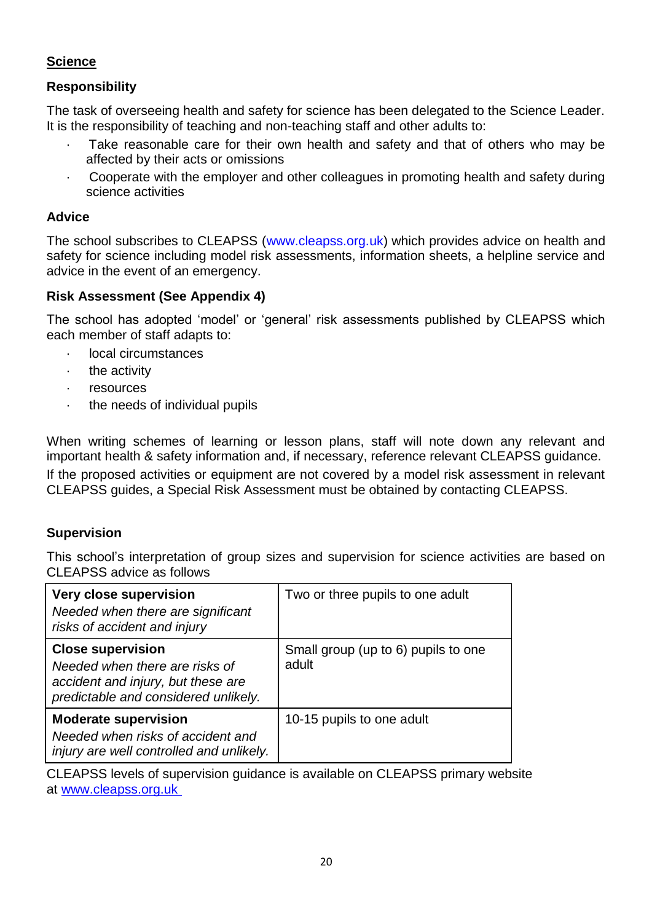#### **Science**

#### **Responsibility**

The task of overseeing health and safety for science has been delegated to the Science Leader. It is the responsibility of teaching and non-teaching staff and other adults to:

- Take reasonable care for their own health and safety and that of others who may be affected by their acts or omissions
- · Cooperate with the employer and other colleagues in promoting health and safety during science activities

#### **Advice**

The school subscribes to CLEAPSS [\(www.cleapss.org.uk\)](https://mail.lgflmail.org/owa/redir.aspx?REF=3q5kaYOOabMAW7YFYw1zCHwuzZLm7fzCm7PMU_Ug7o2_ydfwW1vWCAFodHRwOi8vd3d3LmNsZWFwc3Mub3JnLnVrLw..) which provides advice on health and safety for science including model risk assessments, information sheets, a helpline service and advice in the event of an emergency.

#### **Risk Assessment (See Appendix 4)**

The school has adopted 'model' or 'general' risk assessments published by CLEAPSS which each member of staff adapts to:

- · local circumstances
- · the activity
- · resources
- the needs of individual pupils

When writing schemes of learning or lesson plans, staff will note down any relevant and important health & safety information and, if necessary, reference relevant CLEAPSS guidance. If the proposed activities or equipment are not covered by a model risk assessment in relevant CLEAPSS guides, a Special Risk Assessment must be obtained by contacting CLEAPSS.

#### **Supervision**

This school's interpretation of group sizes and supervision for science activities are based on CLEAPSS advice as follows

| <b>Very close supervision</b><br>Needed when there are significant<br>risks of accident and injury                                       | Two or three pupils to one adult             |
|------------------------------------------------------------------------------------------------------------------------------------------|----------------------------------------------|
| <b>Close supervision</b><br>Needed when there are risks of<br>accident and injury, but these are<br>predictable and considered unlikely. | Small group (up to 6) pupils to one<br>adult |
| <b>Moderate supervision</b><br>Needed when risks of accident and<br>injury are well controlled and unlikely.                             | 10-15 pupils to one adult                    |

CLEAPSS levels of supervision guidance is available on CLEAPSS primary website at [www.cleapss.org.uk](https://mail.lgflmail.org/owa/redir.aspx?REF=3q5kaYOOabMAW7YFYw1zCHwuzZLm7fzCm7PMU_Ug7o2_ydfwW1vWCAFodHRwOi8vd3d3LmNsZWFwc3Mub3JnLnVrLw..)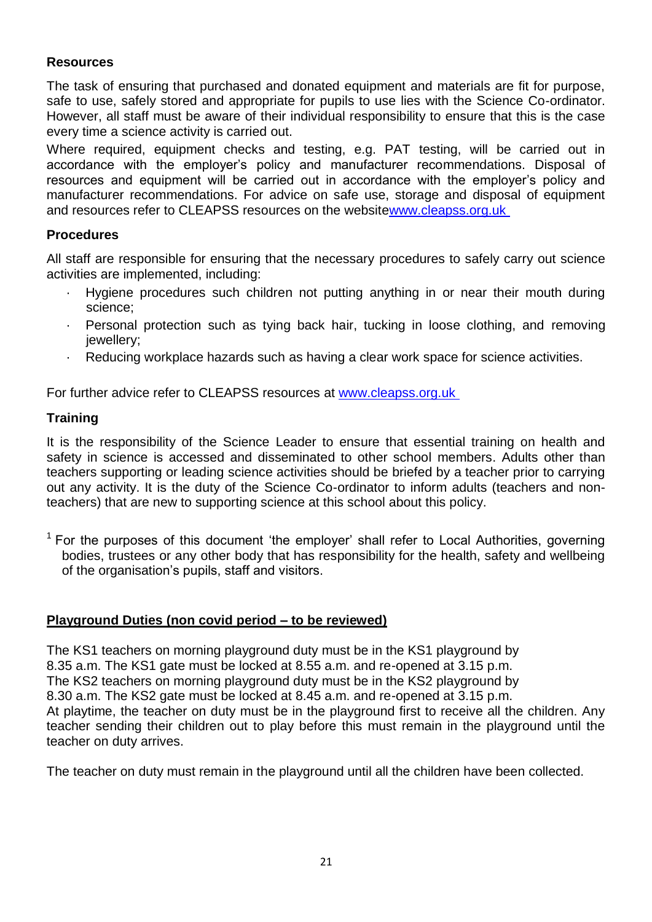#### **Resources**

The task of ensuring that purchased and donated equipment and materials are fit for purpose, safe to use, safely stored and appropriate for pupils to use lies with the Science Co-ordinator. However, all staff must be aware of their individual responsibility to ensure that this is the case every time a science activity is carried out.

Where required, equipment checks and testing, e.g. PAT testing, will be carried out in accordance with the employer's policy and manufacturer recommendations. Disposal of resources and equipment will be carried out in accordance with the employer's policy and manufacturer recommendations. For advice on safe use, storage and disposal of equipment and resources refer to CLEAPSS resources on the websit[ewww.cleapss.org.uk](https://mail.lgflmail.org/owa/redir.aspx?REF=3q5kaYOOabMAW7YFYw1zCHwuzZLm7fzCm7PMU_Ug7o2_ydfwW1vWCAFodHRwOi8vd3d3LmNsZWFwc3Mub3JnLnVrLw..)

#### **Procedures**

All staff are responsible for ensuring that the necessary procedures to safely carry out science activities are implemented, including:

- Hygiene procedures such children not putting anything in or near their mouth during science;
- · Personal protection such as tying back hair, tucking in loose clothing, and removing jewellery;
- · Reducing workplace hazards such as having a clear work space for science activities.

For further advice refer to CLEAPSS resources at [www.cleapss.org.uk](https://mail.lgflmail.org/owa/redir.aspx?REF=3q5kaYOOabMAW7YFYw1zCHwuzZLm7fzCm7PMU_Ug7o2_ydfwW1vWCAFodHRwOi8vd3d3LmNsZWFwc3Mub3JnLnVrLw..)

#### **Training**

It is the responsibility of the Science Leader to ensure that essential training on health and safety in science is accessed and disseminated to other school members. Adults other than teachers supporting or leading science activities should be briefed by a teacher prior to carrying out any activity. It is the duty of the Science Co-ordinator to inform adults (teachers and nonteachers) that are new to supporting science at this school about this policy.

 $1$  For the purposes of this document 'the employer' shall refer to Local Authorities, governing bodies, trustees or any other body that has responsibility for the health, safety and wellbeing of the organisation's pupils, staff and visitors.

#### **Playground Duties (non covid period – to be reviewed)**

The KS1 teachers on morning playground duty must be in the KS1 playground by 8.35 a.m. The KS1 gate must be locked at 8.55 a.m. and re-opened at 3.15 p.m. The KS2 teachers on morning playground duty must be in the KS2 playground by 8.30 a.m. The KS2 gate must be locked at 8.45 a.m. and re-opened at 3.15 p.m. At playtime, the teacher on duty must be in the playground first to receive all the children. Any teacher sending their children out to play before this must remain in the playground until the teacher on duty arrives.

The teacher on duty must remain in the playground until all the children have been collected.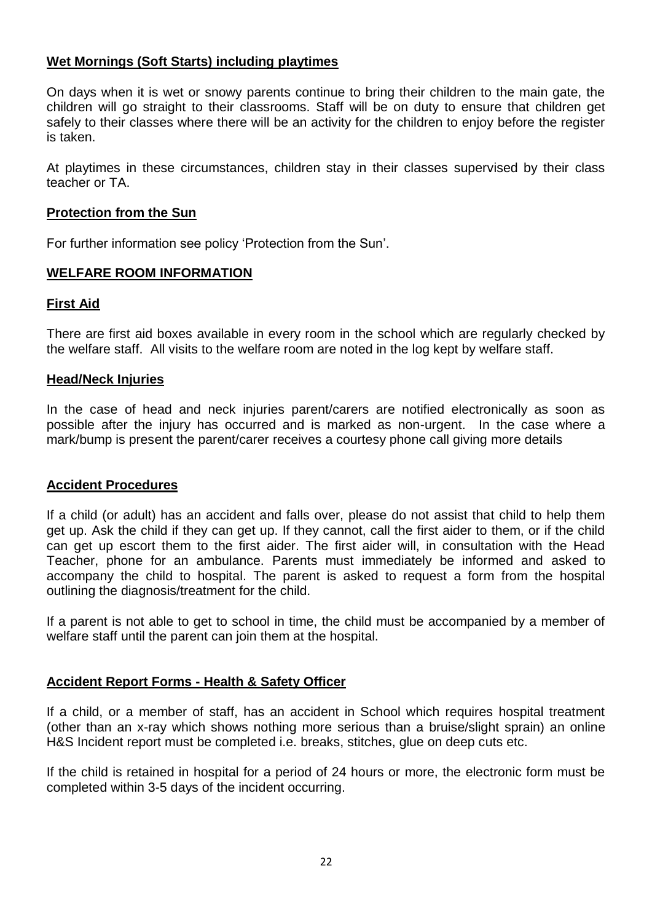#### **Wet Mornings (Soft Starts) including playtimes**

On days when it is wet or snowy parents continue to bring their children to the main gate, the children will go straight to their classrooms. Staff will be on duty to ensure that children get safely to their classes where there will be an activity for the children to enjoy before the register is taken.

At playtimes in these circumstances, children stay in their classes supervised by their class teacher or TA.

#### **Protection from the Sun**

For further information see policy 'Protection from the Sun'.

#### **WELFARE ROOM INFORMATION**

#### **First Aid**

There are first aid boxes available in every room in the school which are regularly checked by the welfare staff. All visits to the welfare room are noted in the log kept by welfare staff.

#### **Head/Neck Injuries**

In the case of head and neck injuries parent/carers are notified electronically as soon as possible after the injury has occurred and is marked as non-urgent. In the case where a mark/bump is present the parent/carer receives a courtesy phone call giving more details

#### **Accident Procedures**

If a child (or adult) has an accident and falls over, please do not assist that child to help them get up. Ask the child if they can get up. If they cannot, call the first aider to them, or if the child can get up escort them to the first aider. The first aider will, in consultation with the Head Teacher, phone for an ambulance. Parents must immediately be informed and asked to accompany the child to hospital. The parent is asked to request a form from the hospital outlining the diagnosis/treatment for the child.

If a parent is not able to get to school in time, the child must be accompanied by a member of welfare staff until the parent can join them at the hospital.

#### **Accident Report Forms - Health & Safety Officer**

If a child, or a member of staff, has an accident in School which requires hospital treatment (other than an x-ray which shows nothing more serious than a bruise/slight sprain) an online H&S Incident report must be completed i.e. breaks, stitches, glue on deep cuts etc.

If the child is retained in hospital for a period of 24 hours or more, the electronic form must be completed within 3-5 days of the incident occurring.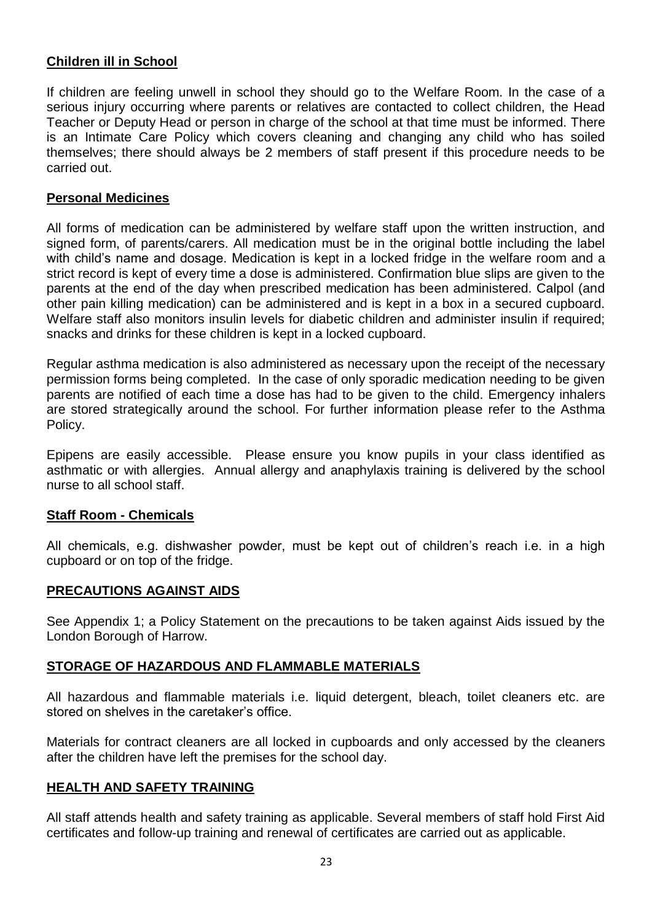#### **Children ill in School**

If children are feeling unwell in school they should go to the Welfare Room. In the case of a serious injury occurring where parents or relatives are contacted to collect children, the Head Teacher or Deputy Head or person in charge of the school at that time must be informed. There is an Intimate Care Policy which covers cleaning and changing any child who has soiled themselves; there should always be 2 members of staff present if this procedure needs to be carried out.

#### **Personal Medicines**

All forms of medication can be administered by welfare staff upon the written instruction, and signed form, of parents/carers. All medication must be in the original bottle including the label with child's name and dosage. Medication is kept in a locked fridge in the welfare room and a strict record is kept of every time a dose is administered. Confirmation blue slips are given to the parents at the end of the day when prescribed medication has been administered. Calpol (and other pain killing medication) can be administered and is kept in a box in a secured cupboard. Welfare staff also monitors insulin levels for diabetic children and administer insulin if required: snacks and drinks for these children is kept in a locked cupboard.

Regular asthma medication is also administered as necessary upon the receipt of the necessary permission forms being completed. In the case of only sporadic medication needing to be given parents are notified of each time a dose has had to be given to the child. Emergency inhalers are stored strategically around the school. For further information please refer to the Asthma Policy.

Epipens are easily accessible. Please ensure you know pupils in your class identified as asthmatic or with allergies. Annual allergy and anaphylaxis training is delivered by the school nurse to all school staff.

#### **Staff Room - Chemicals**

All chemicals, e.g. dishwasher powder, must be kept out of children's reach i.e. in a high cupboard or on top of the fridge.

#### **PRECAUTIONS AGAINST AIDS**

See Appendix 1; a Policy Statement on the precautions to be taken against Aids issued by the London Borough of Harrow.

#### **STORAGE OF HAZARDOUS AND FLAMMABLE MATERIALS**

All hazardous and flammable materials i.e. liquid detergent, bleach, toilet cleaners etc. are stored on shelves in the caretaker's office.

Materials for contract cleaners are all locked in cupboards and only accessed by the cleaners after the children have left the premises for the school day.

#### **HEALTH AND SAFETY TRAINING**

All staff attends health and safety training as applicable. Several members of staff hold First Aid certificates and follow-up training and renewal of certificates are carried out as applicable.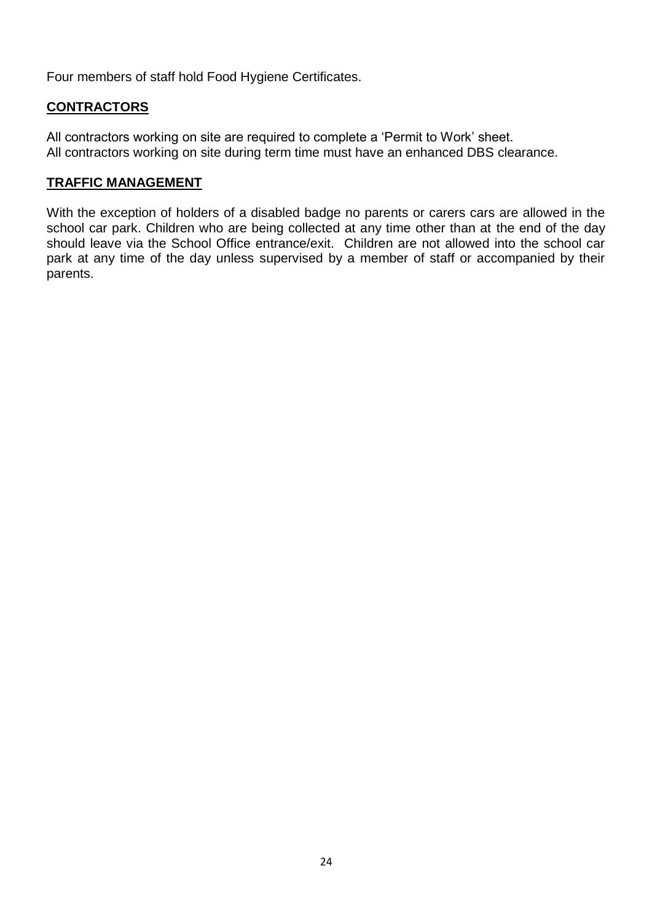Four members of staff hold Food Hygiene Certificates.

#### **CONTRACTORS**

All contractors working on site are required to complete a 'Permit to Work' sheet. All contractors working on site during term time must have an enhanced DBS clearance.

#### **TRAFFIC MANAGEMENT**

With the exception of holders of a disabled badge no parents or carers cars are allowed in the school car park. Children who are being collected at any time other than at the end of the day should leave via the School Office entrance/exit. Children are not allowed into the school car park at any time of the day unless supervised by a member of staff or accompanied by their parents.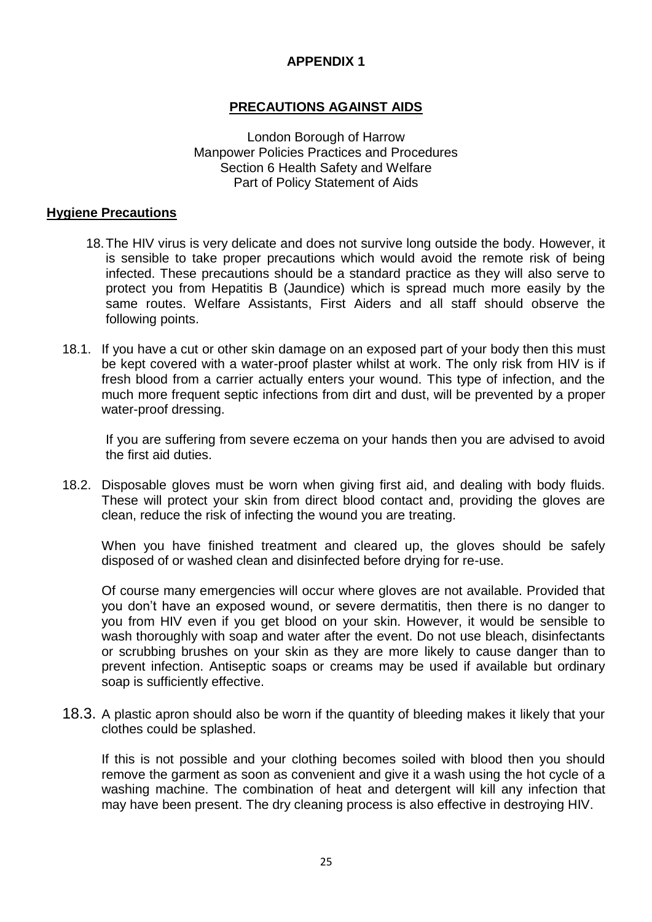#### **APPENDIX 1**

#### **PRECAUTIONS AGAINST AIDS**

London Borough of Harrow Manpower Policies Practices and Procedures Section 6 Health Safety and Welfare Part of Policy Statement of Aids

#### **Hygiene Precautions**

- 18.The HIV virus is very delicate and does not survive long outside the body. However, it is sensible to take proper precautions which would avoid the remote risk of being infected. These precautions should be a standard practice as they will also serve to protect you from Hepatitis B (Jaundice) which is spread much more easily by the same routes. Welfare Assistants, First Aiders and all staff should observe the following points.
- 18.1. If you have a cut or other skin damage on an exposed part of your body then this must be kept covered with a water-proof plaster whilst at work. The only risk from HIV is if fresh blood from a carrier actually enters your wound. This type of infection, and the much more frequent septic infections from dirt and dust, will be prevented by a proper water-proof dressing.

If you are suffering from severe eczema on your hands then you are advised to avoid the first aid duties.

18.2. Disposable gloves must be worn when giving first aid, and dealing with body fluids. These will protect your skin from direct blood contact and, providing the gloves are clean, reduce the risk of infecting the wound you are treating.

When you have finished treatment and cleared up, the gloves should be safely disposed of or washed clean and disinfected before drying for re-use.

Of course many emergencies will occur where gloves are not available. Provided that you don't have an exposed wound, or severe dermatitis, then there is no danger to you from HIV even if you get blood on your skin. However, it would be sensible to wash thoroughly with soap and water after the event. Do not use bleach, disinfectants or scrubbing brushes on your skin as they are more likely to cause danger than to prevent infection. Antiseptic soaps or creams may be used if available but ordinary soap is sufficiently effective.

18.3. A plastic apron should also be worn if the quantity of bleeding makes it likely that your clothes could be splashed.

If this is not possible and your clothing becomes soiled with blood then you should remove the garment as soon as convenient and give it a wash using the hot cycle of a washing machine. The combination of heat and detergent will kill any infection that may have been present. The dry cleaning process is also effective in destroying HIV.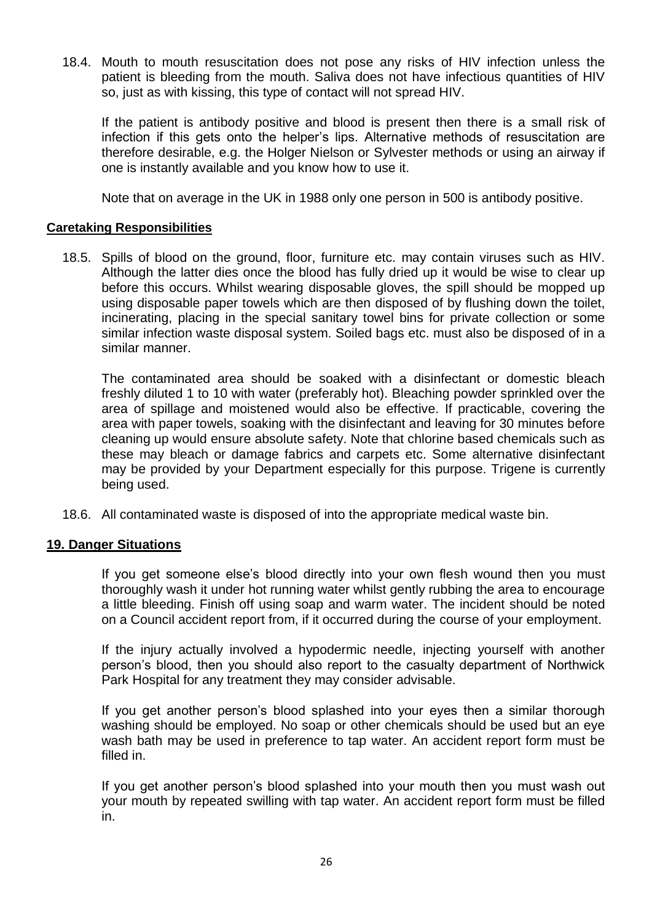18.4. Mouth to mouth resuscitation does not pose any risks of HIV infection unless the patient is bleeding from the mouth. Saliva does not have infectious quantities of HIV so, just as with kissing, this type of contact will not spread HIV.

If the patient is antibody positive and blood is present then there is a small risk of infection if this gets onto the helper's lips. Alternative methods of resuscitation are therefore desirable, e.g. the Holger Nielson or Sylvester methods or using an airway if one is instantly available and you know how to use it.

Note that on average in the UK in 1988 only one person in 500 is antibody positive.

#### **Caretaking Responsibilities**

18.5. Spills of blood on the ground, floor, furniture etc. may contain viruses such as HIV. Although the latter dies once the blood has fully dried up it would be wise to clear up before this occurs. Whilst wearing disposable gloves, the spill should be mopped up using disposable paper towels which are then disposed of by flushing down the toilet, incinerating, placing in the special sanitary towel bins for private collection or some similar infection waste disposal system. Soiled bags etc. must also be disposed of in a similar manner.

The contaminated area should be soaked with a disinfectant or domestic bleach freshly diluted 1 to 10 with water (preferably hot). Bleaching powder sprinkled over the area of spillage and moistened would also be effective. If practicable, covering the area with paper towels, soaking with the disinfectant and leaving for 30 minutes before cleaning up would ensure absolute safety. Note that chlorine based chemicals such as these may bleach or damage fabrics and carpets etc. Some alternative disinfectant may be provided by your Department especially for this purpose. Trigene is currently being used.

18.6. All contaminated waste is disposed of into the appropriate medical waste bin.

#### **19. Danger Situations**

If you get someone else's blood directly into your own flesh wound then you must thoroughly wash it under hot running water whilst gently rubbing the area to encourage a little bleeding. Finish off using soap and warm water. The incident should be noted on a Council accident report from, if it occurred during the course of your employment.

If the injury actually involved a hypodermic needle, injecting yourself with another person's blood, then you should also report to the casualty department of Northwick Park Hospital for any treatment they may consider advisable.

If you get another person's blood splashed into your eyes then a similar thorough washing should be employed. No soap or other chemicals should be used but an eye wash bath may be used in preference to tap water. An accident report form must be filled in.

If you get another person's blood splashed into your mouth then you must wash out your mouth by repeated swilling with tap water. An accident report form must be filled in.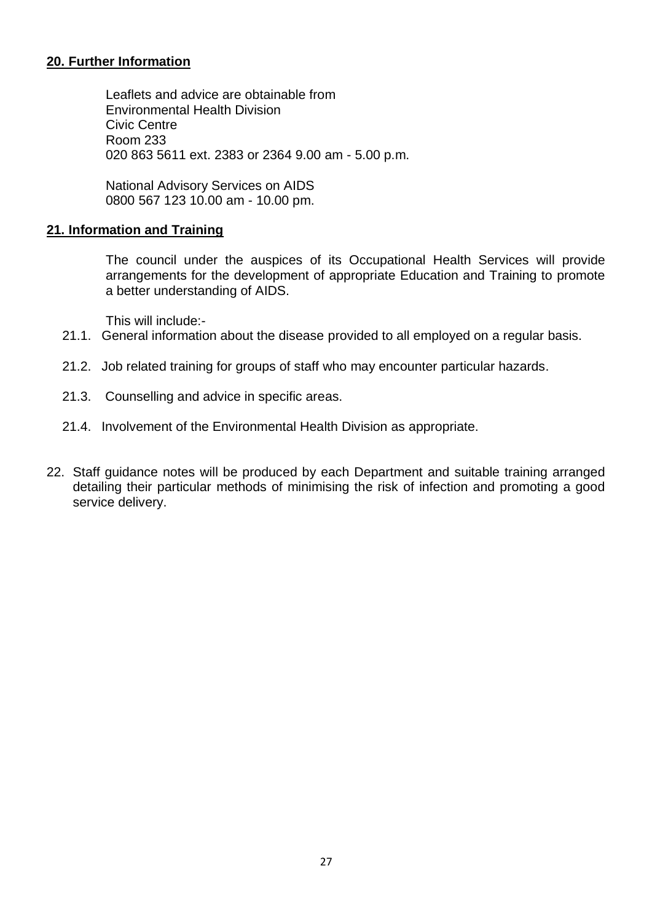#### **20. Further Information**

Leaflets and advice are obtainable from Environmental Health Division Civic Centre Room 233 020 863 5611 ext. 2383 or 2364 9.00 am - 5.00 p.m.

National Advisory Services on AIDS 0800 567 123 10.00 am - 10.00 pm.

#### **21. Information and Training**

The council under the auspices of its Occupational Health Services will provide arrangements for the development of appropriate Education and Training to promote a better understanding of AIDS.

This will include:-

- 21.1. General information about the disease provided to all employed on a regular basis.
- 21.2. Job related training for groups of staff who may encounter particular hazards.
- 21.3. Counselling and advice in specific areas.
- 21.4. Involvement of the Environmental Health Division as appropriate.
- 22. Staff guidance notes will be produced by each Department and suitable training arranged detailing their particular methods of minimising the risk of infection and promoting a good service delivery.